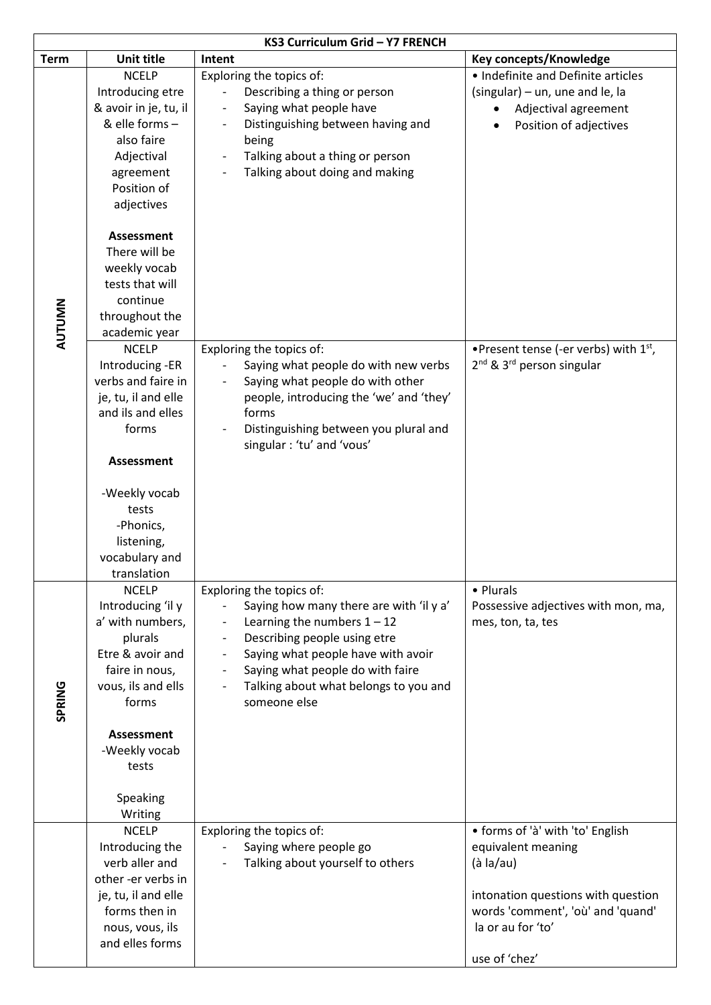| KS3 Curriculum Grid - Y7 FRENCH |                                                                                                                                                                                                                                                                   |                                                                                                                                                                                                                                                                                                                                                                                             |                                                                                                                                                                                      |  |
|---------------------------------|-------------------------------------------------------------------------------------------------------------------------------------------------------------------------------------------------------------------------------------------------------------------|---------------------------------------------------------------------------------------------------------------------------------------------------------------------------------------------------------------------------------------------------------------------------------------------------------------------------------------------------------------------------------------------|--------------------------------------------------------------------------------------------------------------------------------------------------------------------------------------|--|
| <b>Term</b>                     | <b>Unit title</b>                                                                                                                                                                                                                                                 | Intent                                                                                                                                                                                                                                                                                                                                                                                      | Key concepts/Knowledge                                                                                                                                                               |  |
| AUTUMN                          | <b>NCELP</b><br>Introducing etre<br>& avoir in je, tu, il<br>& elle forms-<br>also faire<br>Adjectival<br>agreement<br>Position of<br>adjectives<br>Assessment<br>There will be<br>weekly vocab<br>tests that will<br>continue<br>throughout the<br>academic year | Exploring the topics of:<br>Describing a thing or person<br>Saying what people have<br>$\qquad \qquad -$<br>Distinguishing between having and<br>being<br>Talking about a thing or person<br>$\overline{\phantom{a}}$<br>Talking about doing and making<br>$\overline{\phantom{a}}$                                                                                                         | • Indefinite and Definite articles<br>(singular) - un, une and le, la<br>Adjectival agreement<br>Position of adjectives                                                              |  |
|                                 | <b>NCELP</b><br>Introducing -ER<br>verbs and faire in<br>je, tu, il and elle<br>and ils and elles<br>forms<br><b>Assessment</b><br>-Weekly vocab<br>tests<br>-Phonics,<br>listening,<br>vocabulary and<br>translation                                             | Exploring the topics of:<br>Saying what people do with new verbs<br>Saying what people do with other<br>people, introducing the 'we' and 'they'<br>forms<br>Distinguishing between you plural and<br>singular : 'tu' and 'vous'                                                                                                                                                             | •Present tense (-er verbs) with 1 <sup>st</sup> ,<br>2 <sup>nd</sup> & 3 <sup>rd</sup> person singular                                                                               |  |
| SPRING                          | <b>NCELP</b><br>Introducing 'il y<br>a' with numbers,<br>plurals<br>Etre & avoir and<br>faire in nous,<br>vous, ils and ells<br>forms<br>Assessment<br>-Weekly vocab<br>tests<br>Speaking<br>Writing                                                              | Exploring the topics of:<br>Saying how many there are with 'il y a'<br>Learning the numbers $1 - 12$<br>Describing people using etre<br>$\overline{\phantom{a}}$<br>Saying what people have with avoir<br>$\overline{\phantom{a}}$<br>Saying what people do with faire<br>$\overline{\phantom{a}}$<br>Talking about what belongs to you and<br>$\qquad \qquad \blacksquare$<br>someone else | • Plurals<br>Possessive adjectives with mon, ma,<br>mes, ton, ta, tes                                                                                                                |  |
|                                 | <b>NCELP</b><br>Introducing the<br>verb aller and<br>other-er verbs in<br>je, tu, il and elle<br>forms then in<br>nous, vous, ils<br>and elles forms                                                                                                              | Exploring the topics of:<br>Saying where people go<br>Talking about yourself to others                                                                                                                                                                                                                                                                                                      | • forms of 'à' with 'to' English<br>equivalent meaning<br>(à la/au)<br>intonation questions with question<br>words 'comment', 'où' and 'quand'<br>la or au for 'to'<br>use of 'chez' |  |